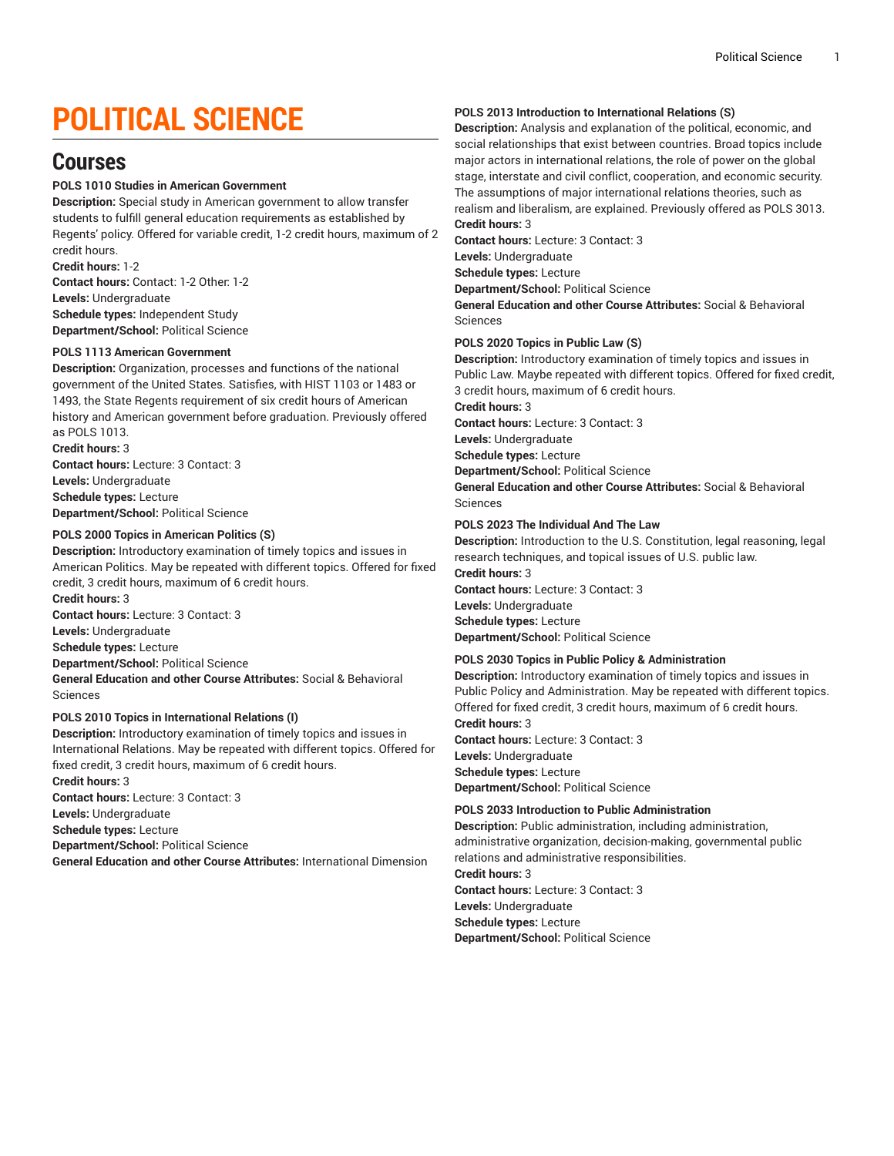# **POLITICAL SCIENCE**

## **Courses**

## **POLS 1010 Studies in American Government**

**Description:** Special study in American government to allow transfer students to fulfill general education requirements as established by Regents' policy. Offered for variable credit, 1-2 credit hours, maximum of 2 credit hours.

**Credit hours:** 1-2

**Contact hours:** Contact: 1-2 Other: 1-2 **Levels:** Undergraduate **Schedule types:** Independent Study **Department/School:** Political Science

#### **POLS 1113 American Government**

**Description:** Organization, processes and functions of the national government of the United States. Satisfies, with HIST 1103 or 1483 or 1493, the State Regents requirement of six credit hours of American history and American government before graduation. Previously offered as POLS 1013.

**Credit hours:** 3 **Contact hours:** Lecture: 3 Contact: 3 **Levels:** Undergraduate **Schedule types:** Lecture **Department/School:** Political Science

#### **POLS 2000 Topics in American Politics (S)**

**Description:** Introductory examination of timely topics and issues in American Politics. May be repeated with different topics. Offered for fixed credit, 3 credit hours, maximum of 6 credit hours. **Credit hours:** 3

**Contact hours:** Lecture: 3 Contact: 3 **Levels:** Undergraduate **Schedule types:** Lecture **Department/School:** Political Science **General Education and other Course Attributes:** Social & Behavioral Sciences

#### **POLS 2010 Topics in International Relations (I)**

**Description:** Introductory examination of timely topics and issues in International Relations. May be repeated with different topics. Offered for fixed credit, 3 credit hours, maximum of 6 credit hours.

**Credit hours:** 3

**Contact hours:** Lecture: 3 Contact: 3

**Levels:** Undergraduate

**Schedule types:** Lecture

**Department/School:** Political Science

**General Education and other Course Attributes:** International Dimension

## **POLS 2013 Introduction to International Relations (S)**

**Description:** Analysis and explanation of the political, economic, and social relationships that exist between countries. Broad topics include major actors in international relations, the role of power on the global stage, interstate and civil conflict, cooperation, and economic security. The assumptions of major international relations theories, such as realism and liberalism, are explained. Previously offered as POLS 3013. **Credit hours:** 3

**Contact hours:** Lecture: 3 Contact: 3 **Levels:** Undergraduate

**Schedule types:** Lecture

**Department/School:** Political Science

**General Education and other Course Attributes:** Social & Behavioral Sciences

#### **POLS 2020 Topics in Public Law (S)**

**Description:** Introductory examination of timely topics and issues in Public Law. Maybe repeated with different topics. Offered for fixed credit, 3 credit hours, maximum of 6 credit hours.

**Credit hours:** 3

**Contact hours:** Lecture: 3 Contact: 3

**Levels:** Undergraduate

**Schedule types:** Lecture

**Department/School:** Political Science

**General Education and other Course Attributes:** Social & Behavioral Sciences

## **POLS 2023 The Individual And The Law**

**Description:** Introduction to the U.S. Constitution, legal reasoning, legal research techniques, and topical issues of U.S. public law.

**Credit hours:** 3 **Contact hours:** Lecture: 3 Contact: 3 **Levels:** Undergraduate **Schedule types:** Lecture **Department/School:** Political Science

## **POLS 2030 Topics in Public Policy & Administration**

**Description:** Introductory examination of timely topics and issues in Public Policy and Administration. May be repeated with different topics. Offered for fixed credit, 3 credit hours, maximum of 6 credit hours. **Credit hours:** 3

**Contact hours:** Lecture: 3 Contact: 3 **Levels:** Undergraduate **Schedule types:** Lecture **Department/School:** Political Science

## **POLS 2033 Introduction to Public Administration**

**Description:** Public administration, including administration, administrative organization, decision-making, governmental public relations and administrative responsibilities. **Credit hours:** 3 **Contact hours:** Lecture: 3 Contact: 3

**Levels:** Undergraduate

**Schedule types:** Lecture

**Department/School:** Political Science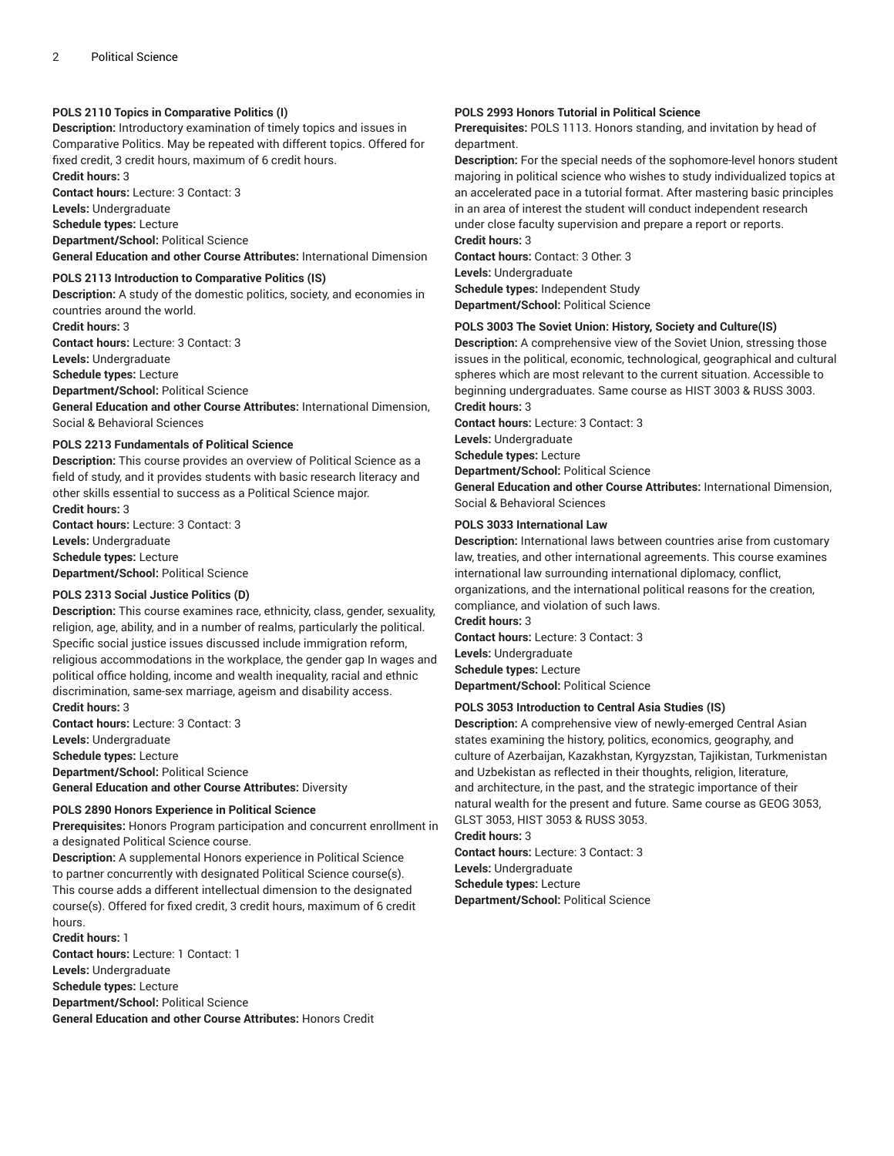#### **POLS 2110 Topics in Comparative Politics (I)**

**Description:** Introductory examination of timely topics and issues in Comparative Politics. May be repeated with different topics. Offered for fixed credit, 3 credit hours, maximum of 6 credit hours.

**Credit hours:** 3

**Contact hours:** Lecture: 3 Contact: 3 **Levels:** Undergraduate

**Schedule types:** Lecture

**Department/School:** Political Science

**General Education and other Course Attributes:** International Dimension

#### **POLS 2113 Introduction to Comparative Politics (IS)**

**Description:** A study of the domestic politics, society, and economies in countries around the world. **Credit hours:** 3

**Contact hours:** Lecture: 3 Contact: 3

**Levels:** Undergraduate

**Schedule types:** Lecture

**Department/School:** Political Science

**General Education and other Course Attributes:** International Dimension, Social & Behavioral Sciences

#### **POLS 2213 Fundamentals of Political Science**

**Description:** This course provides an overview of Political Science as a field of study, and it provides students with basic research literacy and other skills essential to success as a Political Science major. **Credit hours:** 3

**Contact hours:** Lecture: 3 Contact: 3 **Levels:** Undergraduate **Schedule types:** Lecture **Department/School:** Political Science

## **POLS 2313 Social Justice Politics (D)**

**Description:** This course examines race, ethnicity, class, gender, sexuality, religion, age, ability, and in a number of realms, particularly the political. Specific social justice issues discussed include immigration reform, religious accommodations in the workplace, the gender gap In wages and political office holding, income and wealth inequality, racial and ethnic discrimination, same-sex marriage, ageism and disability access. **Credit hours:** 3

**Contact hours:** Lecture: 3 Contact: 3 **Levels:** Undergraduate **Schedule types:** Lecture **Department/School:** Political Science **General Education and other Course Attributes:** Diversity

#### **POLS 2890 Honors Experience in Political Science**

**Prerequisites:** Honors Program participation and concurrent enrollment in a designated Political Science course.

**Description:** A supplemental Honors experience in Political Science to partner concurrently with designated Political Science course(s). This course adds a different intellectual dimension to the designated course(s). Offered for fixed credit, 3 credit hours, maximum of 6 credit hours.

**Credit hours:** 1

**Contact hours:** Lecture: 1 Contact: 1 **Levels:** Undergraduate **Schedule types:** Lecture **Department/School:** Political Science **General Education and other Course Attributes:** Honors Credit

#### **POLS 2993 Honors Tutorial in Political Science**

**Prerequisites:** POLS 1113. Honors standing, and invitation by head of department.

**Description:** For the special needs of the sophomore-level honors student majoring in political science who wishes to study individualized topics at an accelerated pace in a tutorial format. After mastering basic principles in an area of interest the student will conduct independent research under close faculty supervision and prepare a report or reports. **Credit hours:** 3

**Contact hours:** Contact: 3 Other: 3 **Levels:** Undergraduate **Schedule types:** Independent Study **Department/School:** Political Science

## **POLS 3003 The Soviet Union: History, Society and Culture(IS)**

**Description:** A comprehensive view of the Soviet Union, stressing those issues in the political, economic, technological, geographical and cultural spheres which are most relevant to the current situation. Accessible to beginning undergraduates. Same course as HIST 3003 & RUSS 3003. **Credit hours:** 3

**Contact hours:** Lecture: 3 Contact: 3 **Levels:** Undergraduate **Schedule types:** Lecture **Department/School:** Political Science

**General Education and other Course Attributes:** International Dimension, Social & Behavioral Sciences

## **POLS 3033 International Law**

**Description:** International laws between countries arise from customary law, treaties, and other international agreements. This course examines international law surrounding international diplomacy, conflict, organizations, and the international political reasons for the creation, compliance, and violation of such laws. **Credit hours:** 3

**Contact hours:** Lecture: 3 Contact: 3 **Levels:** Undergraduate **Schedule types:** Lecture **Department/School:** Political Science

## **POLS 3053 Introduction to Central Asia Studies (IS)**

**Description:** A comprehensive view of newly-emerged Central Asian states examining the history, politics, economics, geography, and culture of Azerbaijan, Kazakhstan, Kyrgyzstan, Tajikistan, Turkmenistan and Uzbekistan as reflected in their thoughts, religion, literature, and architecture, in the past, and the strategic importance of their natural wealth for the present and future. Same course as GEOG 3053, GLST 3053, HIST 3053 & RUSS 3053.

**Credit hours:** 3

**Contact hours:** Lecture: 3 Contact: 3 **Levels:** Undergraduate **Schedule types:** Lecture **Department/School:** Political Science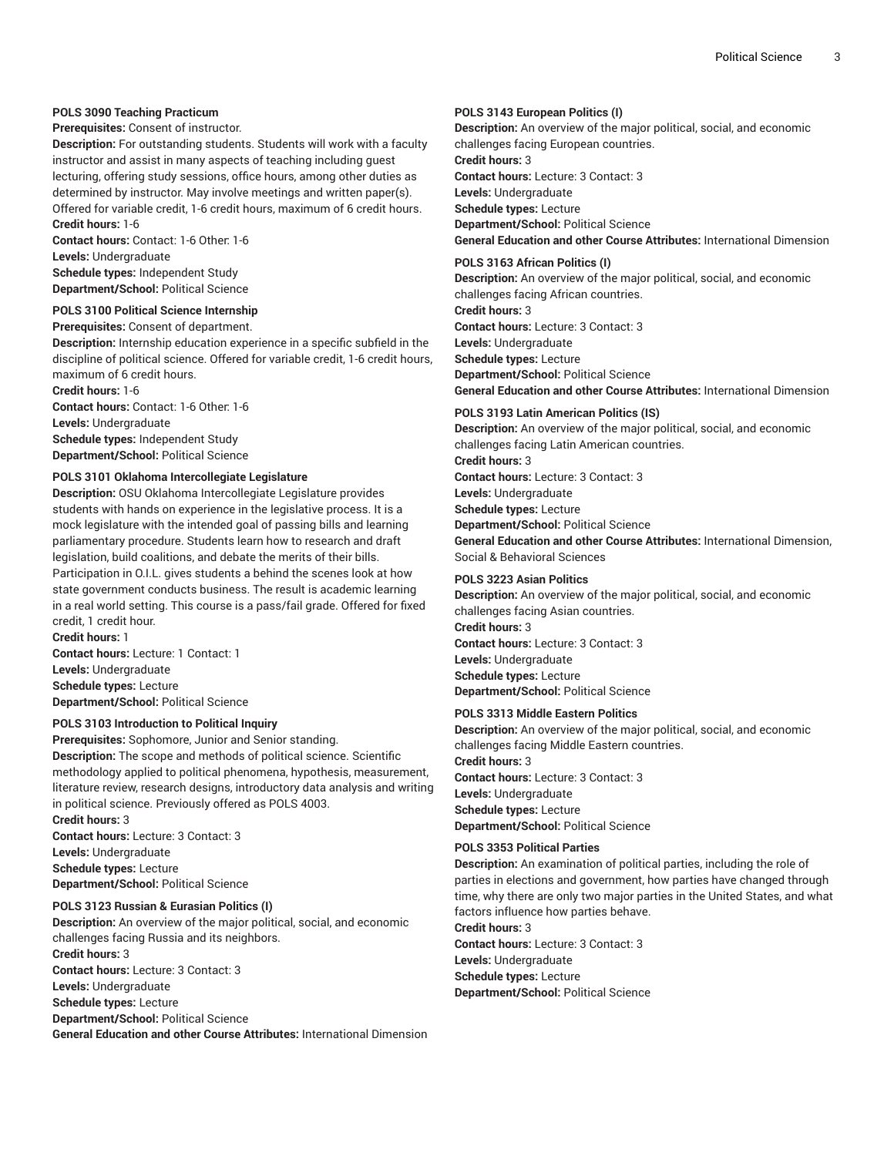#### **POLS 3090 Teaching Practicum**

#### **Prerequisites:** Consent of instructor.

**Description:** For outstanding students. Students will work with a faculty instructor and assist in many aspects of teaching including guest lecturing, offering study sessions, office hours, among other duties as determined by instructor. May involve meetings and written paper(s). Offered for variable credit, 1-6 credit hours, maximum of 6 credit hours. **Credit hours:** 1-6

**Contact hours:** Contact: 1-6 Other: 1-6 **Levels:** Undergraduate

**Schedule types:** Independent Study **Department/School:** Political Science

## **POLS 3100 Political Science Internship**

**Prerequisites:** Consent of department.

**Description:** Internship education experience in a specific subfield in the discipline of political science. Offered for variable credit, 1-6 credit hours, maximum of 6 credit hours.

**Credit hours:** 1-6

**Contact hours:** Contact: 1-6 Other: 1-6 **Levels:** Undergraduate **Schedule types:** Independent Study **Department/School:** Political Science

#### **POLS 3101 Oklahoma Intercollegiate Legislature**

**Description:** OSU Oklahoma Intercollegiate Legislature provides students with hands on experience in the legislative process. It is a mock legislature with the intended goal of passing bills and learning parliamentary procedure. Students learn how to research and draft legislation, build coalitions, and debate the merits of their bills. Participation in O.I.L. gives students a behind the scenes look at how state government conducts business. The result is academic learning in a real world setting. This course is a pass/fail grade. Offered for fixed credit, 1 credit hour. **Credit hours:** 1

**Contact hours:** Lecture: 1 Contact: 1 **Levels:** Undergraduate **Schedule types:** Lecture **Department/School:** Political Science

#### **POLS 3103 Introduction to Political Inquiry**

**Prerequisites:** Sophomore, Junior and Senior standing. **Description:** The scope and methods of political science. Scientific methodology applied to political phenomena, hypothesis, measurement, literature review, research designs, introductory data analysis and writing in political science. Previously offered as POLS 4003. **Credit hours:** 3 **Contact hours:** Lecture: 3 Contact: 3

**Levels:** Undergraduate **Schedule types:** Lecture **Department/School:** Political Science

#### **POLS 3123 Russian & Eurasian Politics (I)**

**Description:** An overview of the major political, social, and economic challenges facing Russia and its neighbors. **Credit hours:** 3 **Contact hours:** Lecture: 3 Contact: 3 **Levels:** Undergraduate **Schedule types:** Lecture **Department/School:** Political Science **General Education and other Course Attributes:** International Dimension

#### **POLS 3143 European Politics (I)**

**Description:** An overview of the major political, social, and economic challenges facing European countries. **Credit hours:** 3 **Contact hours:** Lecture: 3 Contact: 3 **Levels:** Undergraduate **Schedule types:** Lecture **Department/School:** Political Science

**General Education and other Course Attributes:** International Dimension

#### **POLS 3163 African Politics (I)**

**Description:** An overview of the major political, social, and economic challenges facing African countries. **Credit hours:** 3 **Contact hours:** Lecture: 3 Contact: 3 **Levels:** Undergraduate **Schedule types:** Lecture **Department/School:** Political Science **General Education and other Course Attributes:** International Dimension

#### **POLS 3193 Latin American Politics (IS)**

**Description:** An overview of the major political, social, and economic challenges facing Latin American countries. **Credit hours:** 3 **Contact hours:** Lecture: 3 Contact: 3 **Levels:** Undergraduate **Schedule types:** Lecture **Department/School:** Political Science **General Education and other Course Attributes:** International Dimension, Social & Behavioral Sciences

#### **POLS 3223 Asian Politics**

**Description:** An overview of the major political, social, and economic challenges facing Asian countries. **Credit hours:** 3 **Contact hours:** Lecture: 3 Contact: 3 **Levels:** Undergraduate **Schedule types:** Lecture **Department/School:** Political Science

#### **POLS 3313 Middle Eastern Politics**

**Description:** An overview of the major political, social, and economic challenges facing Middle Eastern countries. **Credit hours:** 3 **Contact hours:** Lecture: 3 Contact: 3 **Levels:** Undergraduate **Schedule types:** Lecture **Department/School:** Political Science

#### **POLS 3353 Political Parties**

**Description:** An examination of political parties, including the role of parties in elections and government, how parties have changed through time, why there are only two major parties in the United States, and what factors influence how parties behave. **Credit hours:** 3

**Contact hours:** Lecture: 3 Contact: 3 **Levels:** Undergraduate **Schedule types:** Lecture

**Department/School:** Political Science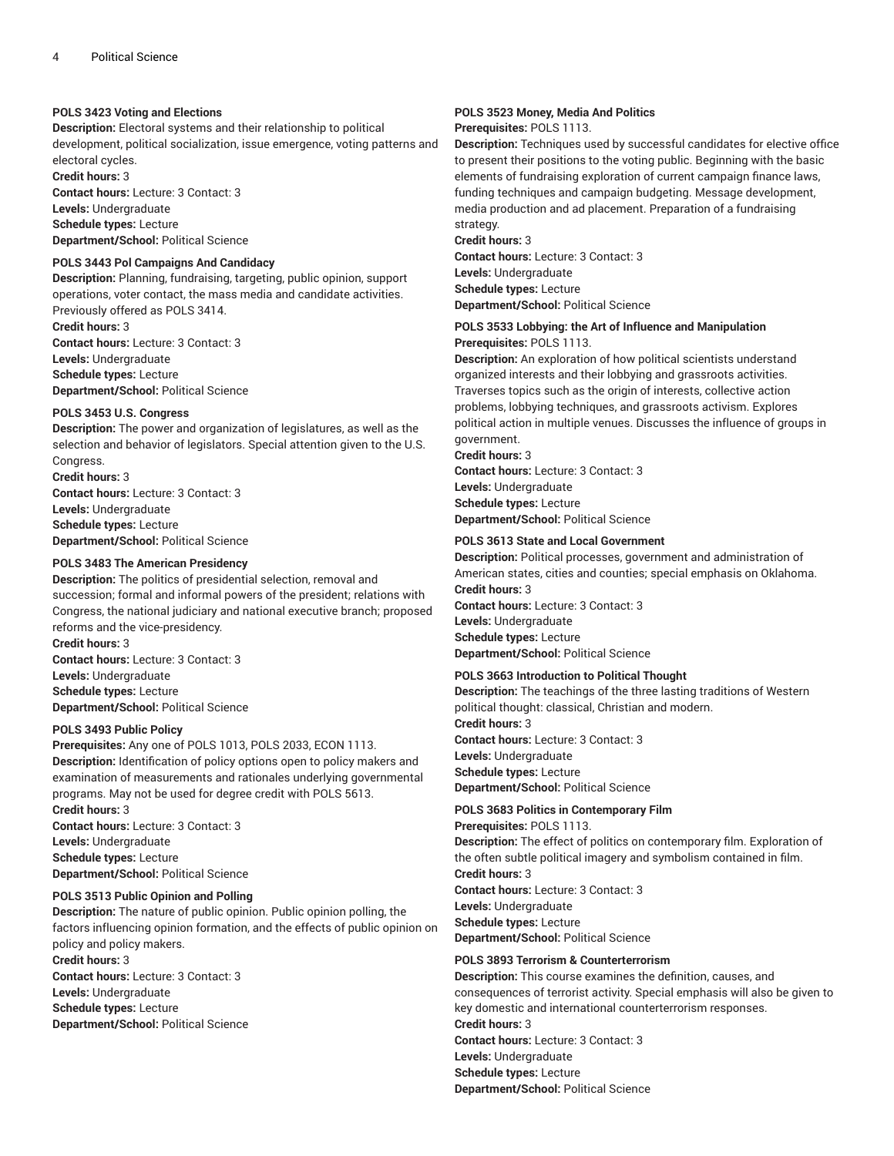#### **POLS 3423 Voting and Elections**

**Description:** Electoral systems and their relationship to political development, political socialization, issue emergence, voting patterns and electoral cycles.

**Credit hours:** 3

**Contact hours:** Lecture: 3 Contact: 3 **Levels:** Undergraduate **Schedule types:** Lecture

**Department/School:** Political Science

#### **POLS 3443 Pol Campaigns And Candidacy**

**Description:** Planning, fundraising, targeting, public opinion, support operations, voter contact, the mass media and candidate activities. Previously offered as POLS 3414. **Credit hours:** 3

**Contact hours:** Lecture: 3 Contact: 3 **Levels:** Undergraduate **Schedule types:** Lecture **Department/School:** Political Science

#### **POLS 3453 U.S. Congress**

**Description:** The power and organization of legislatures, as well as the selection and behavior of legislators. Special attention given to the U.S. Congress.

**Credit hours:** 3 **Contact hours:** Lecture: 3 Contact: 3 **Levels:** Undergraduate **Schedule types:** Lecture **Department/School:** Political Science

#### **POLS 3483 The American Presidency**

**Description:** The politics of presidential selection, removal and succession; formal and informal powers of the president; relations with Congress, the national judiciary and national executive branch; proposed reforms and the vice-presidency. **Credit hours:** 3 **Contact hours:** Lecture: 3 Contact: 3 **Levels:** Undergraduate **Schedule types:** Lecture

**Department/School:** Political Science

#### **POLS 3493 Public Policy**

**Prerequisites:** Any one of POLS 1013, POLS 2033, ECON 1113. **Description:** Identification of policy options open to policy makers and examination of measurements and rationales underlying governmental programs. May not be used for degree credit with POLS 5613. **Credit hours:** 3 **Contact hours:** Lecture: 3 Contact: 3

**Levels:** Undergraduate **Schedule types:** Lecture

**Department/School:** Political Science

## **POLS 3513 Public Opinion and Polling**

**Description:** The nature of public opinion. Public opinion polling, the factors influencing opinion formation, and the effects of public opinion on policy and policy makers.

**Credit hours:** 3 **Contact hours:** Lecture: 3 Contact: 3 **Levels:** Undergraduate **Schedule types:** Lecture **Department/School:** Political Science

## **POLS 3523 Money, Media And Politics**

**Prerequisites:** POLS 1113.

**Description:** Techniques used by successful candidates for elective office to present their positions to the voting public. Beginning with the basic elements of fundraising exploration of current campaign finance laws, funding techniques and campaign budgeting. Message development, media production and ad placement. Preparation of a fundraising strategy.

**Credit hours:** 3 **Contact hours:** Lecture: 3 Contact: 3 **Levels:** Undergraduate **Schedule types:** Lecture **Department/School:** Political Science

## **POLS 3533 Lobbying: the Art of Influence and Manipulation**

**Prerequisites:** POLS 1113.

**Description:** An exploration of how political scientists understand organized interests and their lobbying and grassroots activities. Traverses topics such as the origin of interests, collective action problems, lobbying techniques, and grassroots activism. Explores political action in multiple venues. Discusses the influence of groups in government.

**Credit hours:** 3 **Contact hours:** Lecture: 3 Contact: 3 **Levels:** Undergraduate **Schedule types:** Lecture **Department/School:** Political Science

#### **POLS 3613 State and Local Government**

**Description:** Political processes, government and administration of American states, cities and counties; special emphasis on Oklahoma. **Credit hours:** 3

**Contact hours:** Lecture: 3 Contact: 3 **Levels:** Undergraduate **Schedule types:** Lecture **Department/School:** Political Science

#### **POLS 3663 Introduction to Political Thought**

**Description:** The teachings of the three lasting traditions of Western political thought: classical, Christian and modern.

**Credit hours:** 3 **Contact hours:** Lecture: 3 Contact: 3 **Levels:** Undergraduate **Schedule types:** Lecture **Department/School:** Political Science

#### **POLS 3683 Politics in Contemporary Film**

**Prerequisites:** POLS 1113. **Description:** The effect of politics on contemporary film. Exploration of the often subtle political imagery and symbolism contained in film. **Credit hours:** 3 **Contact hours:** Lecture: 3 Contact: 3 **Levels:** Undergraduate **Schedule types:** Lecture **Department/School:** Political Science

#### **POLS 3893 Terrorism & Counterterrorism**

**Description:** This course examines the definition, causes, and consequences of terrorist activity. Special emphasis will also be given to key domestic and international counterterrorism responses. **Credit hours:** 3 **Contact hours:** Lecture: 3 Contact: 3 **Levels:** Undergraduate **Schedule types:** Lecture **Department/School:** Political Science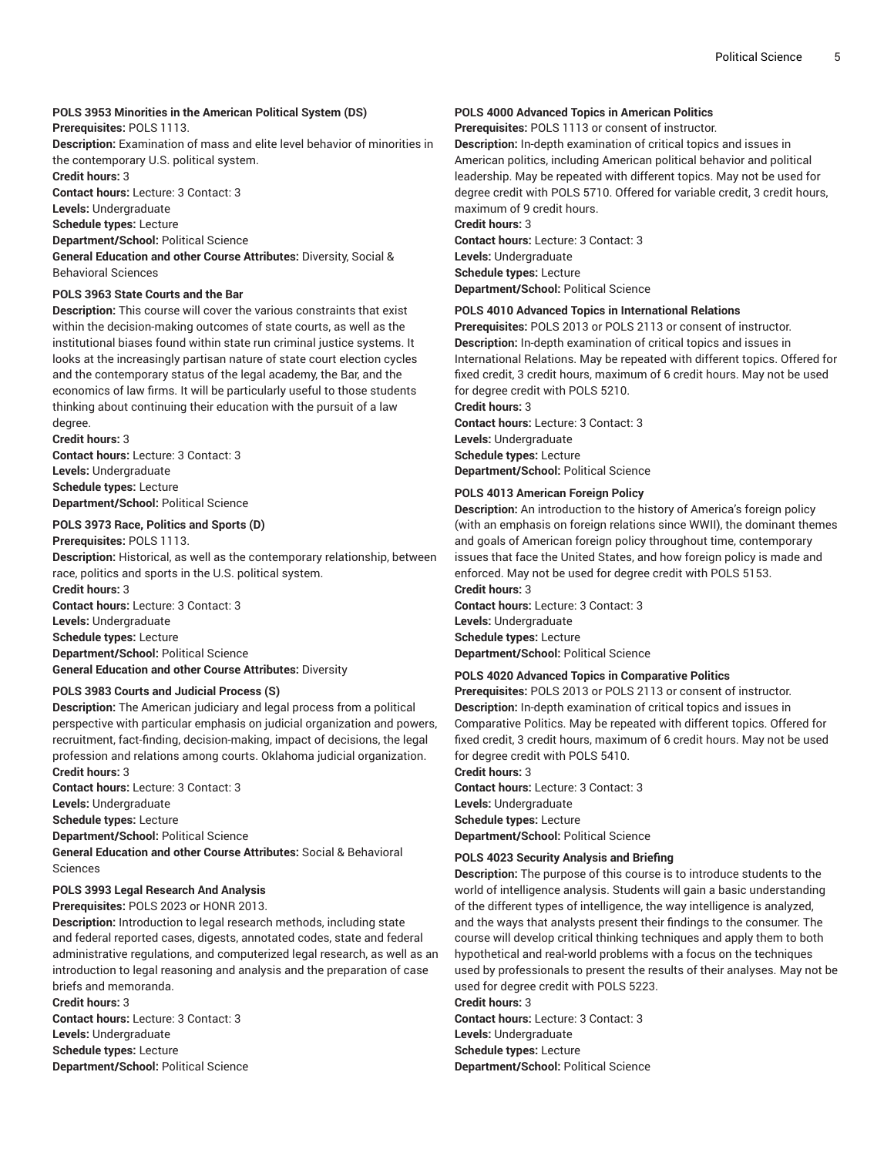## **POLS 3953 Minorities in the American Political System (DS)**

**Prerequisites:** POLS 1113.

**Description:** Examination of mass and elite level behavior of minorities in the contemporary U.S. political system.

**Credit hours:** 3

**Contact hours:** Lecture: 3 Contact: 3

**Levels:** Undergraduate

**Schedule types:** Lecture

**Department/School:** Political Science

**General Education and other Course Attributes:** Diversity, Social & Behavioral Sciences

#### **POLS 3963 State Courts and the Bar**

**Description:** This course will cover the various constraints that exist within the decision-making outcomes of state courts, as well as the institutional biases found within state run criminal justice systems. It looks at the increasingly partisan nature of state court election cycles and the contemporary status of the legal academy, the Bar, and the economics of law firms. It will be particularly useful to those students thinking about continuing their education with the pursuit of a law degree.

#### **Credit hours:** 3

**Contact hours:** Lecture: 3 Contact: 3 **Levels:** Undergraduate **Schedule types:** Lecture **Department/School:** Political Science

## **POLS 3973 Race, Politics and Sports (D)**

**Prerequisites:** POLS 1113.

**Description:** Historical, as well as the contemporary relationship, between race, politics and sports in the U.S. political system. **Credit hours:** 3

**Contact hours:** Lecture: 3 Contact: 3 **Levels:** Undergraduate **Schedule types:** Lecture **Department/School:** Political Science **General Education and other Course Attributes:** Diversity

#### **POLS 3983 Courts and Judicial Process (S)**

**Description:** The American judiciary and legal process from a political perspective with particular emphasis on judicial organization and powers, recruitment, fact-finding, decision-making, impact of decisions, the legal profession and relations among courts. Oklahoma judicial organization. **Credit hours:** 3

**Contact hours:** Lecture: 3 Contact: 3 **Levels:** Undergraduate **Schedule types:** Lecture **Department/School:** Political Science **General Education and other Course Attributes:** Social & Behavioral Sciences

#### **POLS 3993 Legal Research And Analysis**

**Prerequisites:** POLS 2023 or HONR 2013.

**Description:** Introduction to legal research methods, including state and federal reported cases, digests, annotated codes, state and federal administrative regulations, and computerized legal research, as well as an introduction to legal reasoning and analysis and the preparation of case briefs and memoranda.

**Credit hours:** 3 **Contact hours:** Lecture: 3 Contact: 3 **Levels:** Undergraduate **Schedule types:** Lecture **Department/School:** Political Science

#### **POLS 4000 Advanced Topics in American Politics**

**Prerequisites:** POLS 1113 or consent of instructor.

**Description:** In-depth examination of critical topics and issues in American politics, including American political behavior and political leadership. May be repeated with different topics. May not be used for degree credit with POLS 5710. Offered for variable credit, 3 credit hours, maximum of 9 credit hours.

**Credit hours:** 3

**Contact hours:** Lecture: 3 Contact: 3 **Levels:** Undergraduate **Schedule types:** Lecture **Department/School:** Political Science

#### **POLS 4010 Advanced Topics in International Relations**

**Prerequisites:** POLS 2013 or POLS 2113 or consent of instructor. **Description:** In-depth examination of critical topics and issues in International Relations. May be repeated with different topics. Offered for fixed credit, 3 credit hours, maximum of 6 credit hours. May not be used for degree credit with POLS 5210.

**Credit hours:** 3

**Contact hours:** Lecture: 3 Contact: 3 **Levels:** Undergraduate **Schedule types:** Lecture **Department/School:** Political Science

#### **POLS 4013 American Foreign Policy**

**Description:** An introduction to the history of America's foreign policy (with an emphasis on foreign relations since WWII), the dominant themes and goals of American foreign policy throughout time, contemporary issues that face the United States, and how foreign policy is made and enforced. May not be used for degree credit with POLS 5153. **Credit hours:** 3

**Contact hours:** Lecture: 3 Contact: 3 **Levels:** Undergraduate **Schedule types:** Lecture **Department/School:** Political Science

#### **POLS 4020 Advanced Topics in Comparative Politics**

**Prerequisites:** POLS 2013 or POLS 2113 or consent of instructor. **Description:** In-depth examination of critical topics and issues in Comparative Politics. May be repeated with different topics. Offered for fixed credit, 3 credit hours, maximum of 6 credit hours. May not be used for degree credit with POLS 5410.

**Credit hours:** 3

**Contact hours:** Lecture: 3 Contact: 3 **Levels:** Undergraduate **Schedule types:** Lecture **Department/School:** Political Science

## **POLS 4023 Security Analysis and Briefing**

**Description:** The purpose of this course is to introduce students to the world of intelligence analysis. Students will gain a basic understanding of the different types of intelligence, the way intelligence is analyzed, and the ways that analysts present their findings to the consumer. The course will develop critical thinking techniques and apply them to both hypothetical and real-world problems with a focus on the techniques used by professionals to present the results of their analyses. May not be used for degree credit with POLS 5223.

**Credit hours:** 3

**Contact hours:** Lecture: 3 Contact: 3 **Levels:** Undergraduate **Schedule types:** Lecture **Department/School:** Political Science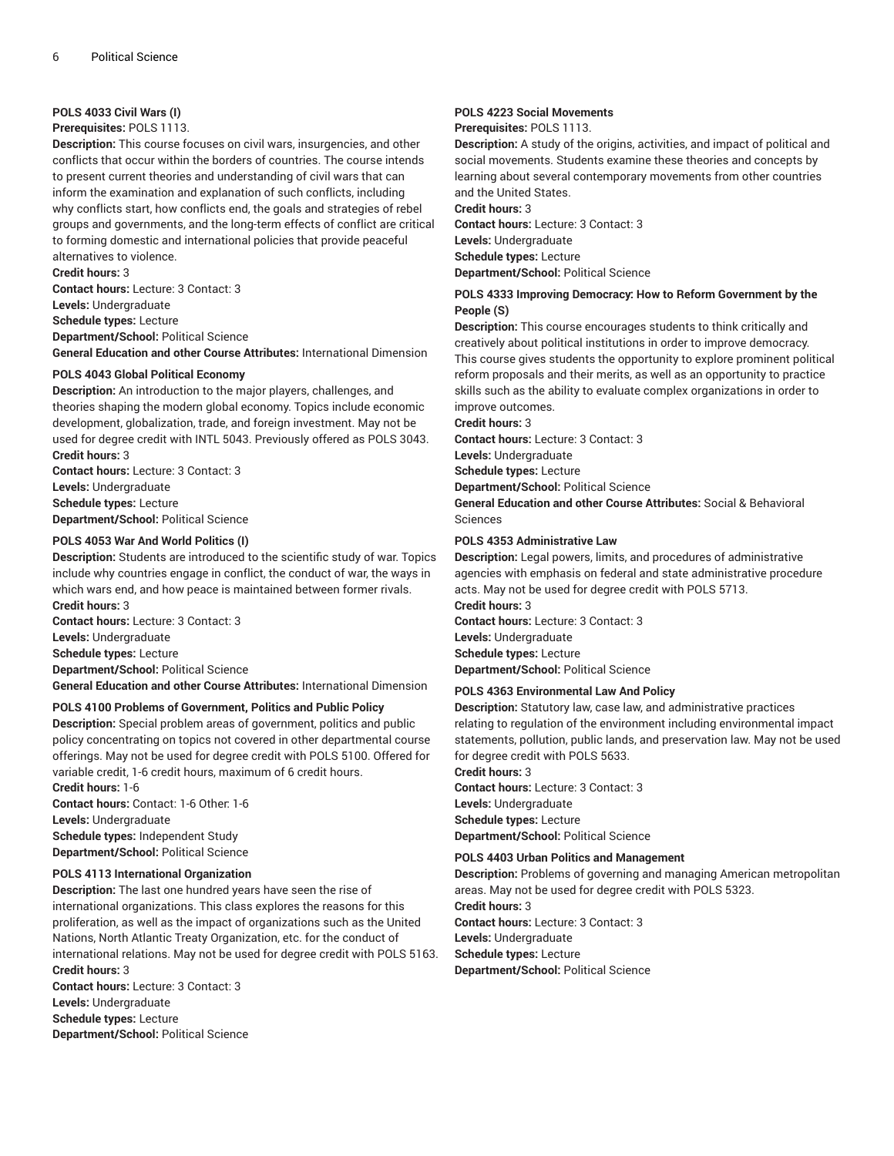#### **POLS 4033 Civil Wars (I)**

#### **Prerequisites:** POLS 1113.

**Description:** This course focuses on civil wars, insurgencies, and other conflicts that occur within the borders of countries. The course intends to present current theories and understanding of civil wars that can inform the examination and explanation of such conflicts, including why conflicts start, how conflicts end, the goals and strategies of rebel groups and governments, and the long-term effects of conflict are critical to forming domestic and international policies that provide peaceful alternatives to violence.

**Credit hours:** 3

**Contact hours:** Lecture: 3 Contact: 3 **Levels:** Undergraduate **Schedule types:** Lecture **Department/School:** Political Science

**General Education and other Course Attributes:** International Dimension

#### **POLS 4043 Global Political Economy**

**Description:** An introduction to the major players, challenges, and theories shaping the modern global economy. Topics include economic development, globalization, trade, and foreign investment. May not be used for degree credit with INTL 5043. Previously offered as POLS 3043. **Credit hours:** 3

**Contact hours:** Lecture: 3 Contact: 3 **Levels:** Undergraduate **Schedule types:** Lecture **Department/School:** Political Science

#### **POLS 4053 War And World Politics (I)**

**Description:** Students are introduced to the scientific study of war. Topics include why countries engage in conflict, the conduct of war, the ways in which wars end, and how peace is maintained between former rivals. **Credit hours:** 3

**Contact hours:** Lecture: 3 Contact: 3 **Levels:** Undergraduate **Schedule types:** Lecture **Department/School:** Political Science **General Education and other Course Attributes:** International Dimension

#### **POLS 4100 Problems of Government, Politics and Public Policy**

**Description:** Special problem areas of government, politics and public policy concentrating on topics not covered in other departmental course offerings. May not be used for degree credit with POLS 5100. Offered for variable credit, 1-6 credit hours, maximum of 6 credit hours.

**Credit hours:** 1-6 **Contact hours:** Contact: 1-6 Other: 1-6 **Levels:** Undergraduate **Schedule types:** Independent Study **Department/School:** Political Science

#### **POLS 4113 International Organization**

**Description:** The last one hundred years have seen the rise of international organizations. This class explores the reasons for this proliferation, as well as the impact of organizations such as the United Nations, North Atlantic Treaty Organization, etc. for the conduct of international relations. May not be used for degree credit with POLS 5163. **Credit hours:** 3

**Contact hours:** Lecture: 3 Contact: 3 **Levels:** Undergraduate **Schedule types:** Lecture **Department/School:** Political Science

#### **POLS 4223 Social Movements**

**Prerequisites:** POLS 1113.

**Description:** A study of the origins, activities, and impact of political and social movements. Students examine these theories and concepts by learning about several contemporary movements from other countries and the United States. **Credit hours:** 3

**Contact hours:** Lecture: 3 Contact: 3 **Levels:** Undergraduate **Schedule types:** Lecture **Department/School:** Political Science

#### **POLS 4333 Improving Democracy: How to Reform Government by the People (S)**

**Description:** This course encourages students to think critically and creatively about political institutions in order to improve democracy. This course gives students the opportunity to explore prominent political reform proposals and their merits, as well as an opportunity to practice skills such as the ability to evaluate complex organizations in order to improve outcomes.

**Credit hours:** 3

**Contact hours:** Lecture: 3 Contact: 3

**Levels:** Undergraduate

**Schedule types:** Lecture

**Department/School:** Political Science

**General Education and other Course Attributes:** Social & Behavioral Sciences

#### **POLS 4353 Administrative Law**

**Description:** Legal powers, limits, and procedures of administrative agencies with emphasis on federal and state administrative procedure acts. May not be used for degree credit with POLS 5713.

**Credit hours:** 3 **Contact hours:** Lecture: 3 Contact: 3 **Levels:** Undergraduate **Schedule types:** Lecture **Department/School:** Political Science

#### **POLS 4363 Environmental Law And Policy**

**Description:** Statutory law, case law, and administrative practices relating to regulation of the environment including environmental impact statements, pollution, public lands, and preservation law. May not be used for degree credit with POLS 5633.

**Credit hours:** 3

**Contact hours:** Lecture: 3 Contact: 3 **Levels:** Undergraduate **Schedule types:** Lecture **Department/School:** Political Science

## **POLS 4403 Urban Politics and Management**

**Description:** Problems of governing and managing American metropolitan areas. May not be used for degree credit with POLS 5323. **Credit hours:** 3 **Contact hours:** Lecture: 3 Contact: 3 **Levels:** Undergraduate **Schedule types:** Lecture **Department/School:** Political Science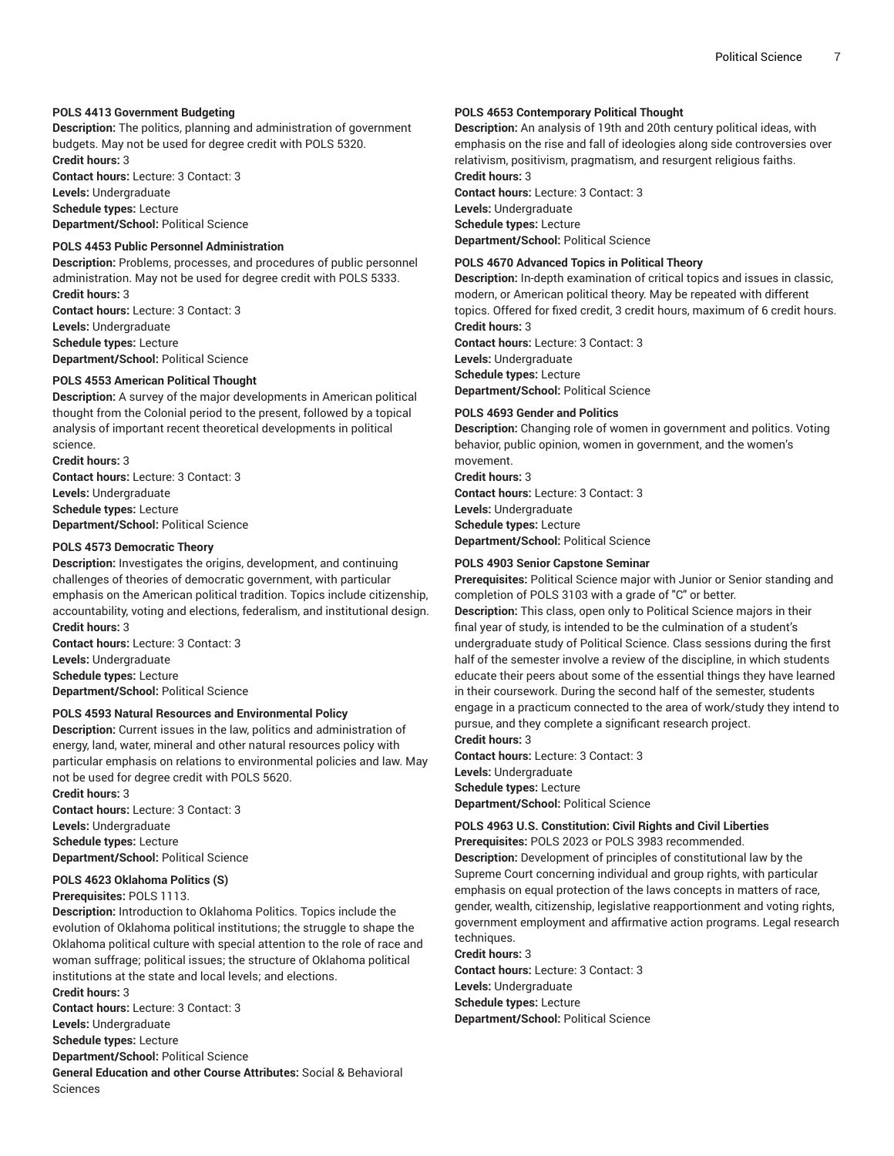#### **POLS 4413 Government Budgeting**

**Description:** The politics, planning and administration of government budgets. May not be used for degree credit with POLS 5320. **Credit hours:** 3

**Contact hours:** Lecture: 3 Contact: 3 **Levels:** Undergraduate **Schedule types:** Lecture **Department/School:** Political Science

#### **POLS 4453 Public Personnel Administration**

**Description:** Problems, processes, and procedures of public personnel administration. May not be used for degree credit with POLS 5333. **Credit hours:** 3

**Contact hours:** Lecture: 3 Contact: 3 **Levels:** Undergraduate **Schedule types:** Lecture **Department/School:** Political Science

#### **POLS 4553 American Political Thought**

**Description:** A survey of the major developments in American political thought from the Colonial period to the present, followed by a topical analysis of important recent theoretical developments in political science.

**Credit hours:** 3 **Contact hours:** Lecture: 3 Contact: 3 **Levels:** Undergraduate **Schedule types:** Lecture **Department/School:** Political Science

#### **POLS 4573 Democratic Theory**

**Description:** Investigates the origins, development, and continuing challenges of theories of democratic government, with particular emphasis on the American political tradition. Topics include citizenship, accountability, voting and elections, federalism, and institutional design. **Credit hours:** 3

**Contact hours:** Lecture: 3 Contact: 3 **Levels:** Undergraduate **Schedule types:** Lecture **Department/School:** Political Science

#### **POLS 4593 Natural Resources and Environmental Policy**

**Description:** Current issues in the law, politics and administration of energy, land, water, mineral and other natural resources policy with particular emphasis on relations to environmental policies and law. May not be used for degree credit with POLS 5620. **Credit hours:** 3

**Contact hours:** Lecture: 3 Contact: 3 **Levels:** Undergraduate **Schedule types:** Lecture **Department/School:** Political Science

#### **POLS 4623 Oklahoma Politics (S)**

**Prerequisites:** POLS 1113.

**Description:** Introduction to Oklahoma Politics. Topics include the evolution of Oklahoma political institutions; the struggle to shape the Oklahoma political culture with special attention to the role of race and woman suffrage; political issues; the structure of Oklahoma political institutions at the state and local levels; and elections. **Credit hours:** 3

**Contact hours:** Lecture: 3 Contact: 3 **Levels:** Undergraduate **Schedule types:** Lecture **Department/School:** Political Science **General Education and other Course Attributes:** Social & Behavioral Sciences

#### **POLS 4653 Contemporary Political Thought**

**Description:** An analysis of 19th and 20th century political ideas, with emphasis on the rise and fall of ideologies along side controversies over relativism, positivism, pragmatism, and resurgent religious faiths. **Credit hours:** 3

**Contact hours:** Lecture: 3 Contact: 3 **Levels:** Undergraduate **Schedule types:** Lecture **Department/School:** Political Science

#### **POLS 4670 Advanced Topics in Political Theory**

**Description:** In-depth examination of critical topics and issues in classic, modern, or American political theory. May be repeated with different topics. Offered for fixed credit, 3 credit hours, maximum of 6 credit hours. **Credit hours:** 3

**Contact hours:** Lecture: 3 Contact: 3 **Levels:** Undergraduate **Schedule types:** Lecture

**Department/School:** Political Science

#### **POLS 4693 Gender and Politics**

**Description:** Changing role of women in government and politics. Voting behavior, public opinion, women in government, and the women's movement.

**Credit hours:** 3 **Contact hours:** Lecture: 3 Contact: 3 **Levels:** Undergraduate **Schedule types:** Lecture **Department/School:** Political Science

#### **POLS 4903 Senior Capstone Seminar**

**Prerequisites:** Political Science major with Junior or Senior standing and completion of POLS 3103 with a grade of "C" or better.

**Description:** This class, open only to Political Science majors in their final year of study, is intended to be the culmination of a student's undergraduate study of Political Science. Class sessions during the first half of the semester involve a review of the discipline, in which students educate their peers about some of the essential things they have learned in their coursework. During the second half of the semester, students engage in a practicum connected to the area of work/study they intend to pursue, and they complete a significant research project.

**Credit hours:** 3

**Contact hours:** Lecture: 3 Contact: 3 **Levels:** Undergraduate **Schedule types:** Lecture **Department/School:** Political Science

#### **POLS 4963 U.S. Constitution: Civil Rights and Civil Liberties**

**Prerequisites:** POLS 2023 or POLS 3983 recommended.

**Description:** Development of principles of constitutional law by the Supreme Court concerning individual and group rights, with particular emphasis on equal protection of the laws concepts in matters of race, gender, wealth, citizenship, legislative reapportionment and voting rights, government employment and affirmative action programs. Legal research techniques.

#### **Credit hours:** 3

**Contact hours:** Lecture: 3 Contact: 3 **Levels:** Undergraduate **Schedule types:** Lecture **Department/School:** Political Science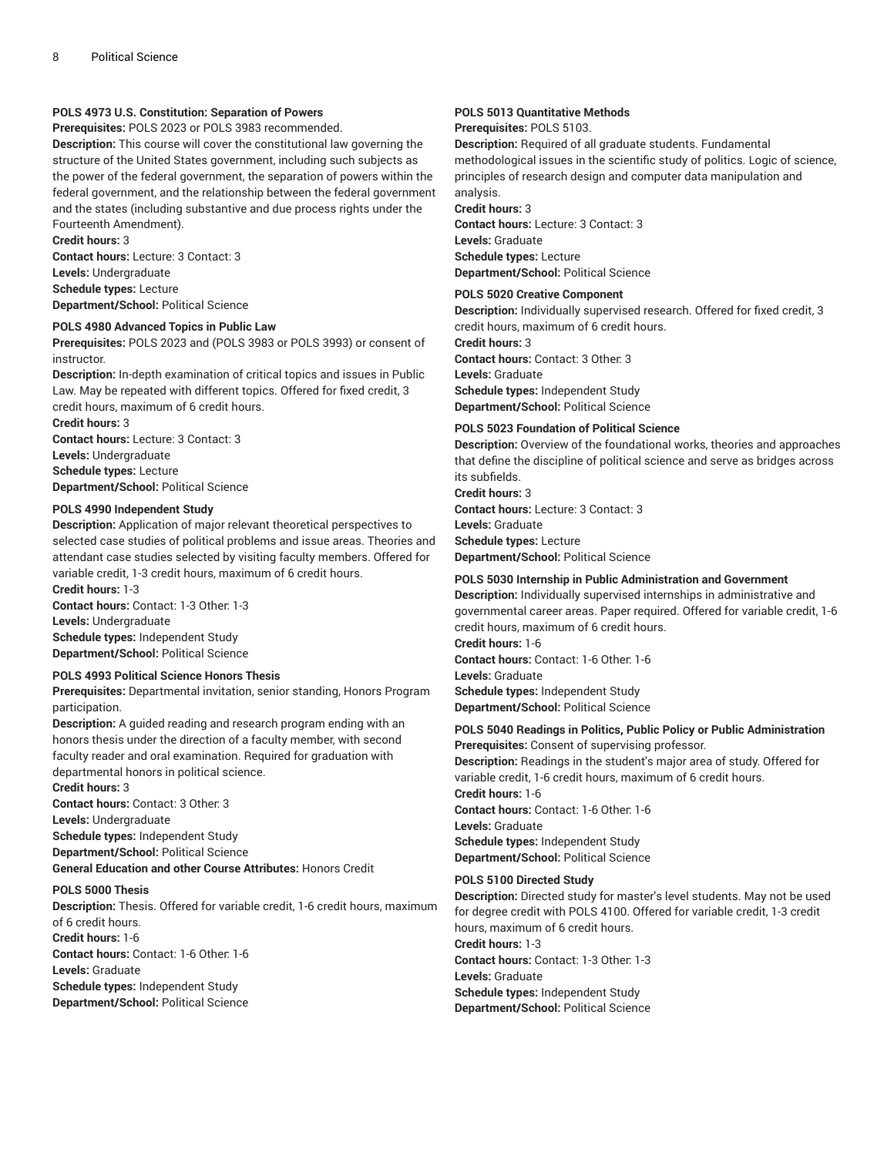#### **POLS 4973 U.S. Constitution: Separation of Powers**

**Prerequisites:** POLS 2023 or POLS 3983 recommended.

**Description:** This course will cover the constitutional law governing the structure of the United States government, including such subjects as the power of the federal government, the separation of powers within the federal government, and the relationship between the federal government and the states (including substantive and due process rights under the Fourteenth Amendment).

**Credit hours:** 3

**Contact hours:** Lecture: 3 Contact: 3 **Levels:** Undergraduate **Schedule types:** Lecture **Department/School:** Political Science

## **POLS 4980 Advanced Topics in Public Law**

**Prerequisites:** POLS 2023 and (POLS 3983 or POLS 3993) or consent of instructor.

**Description:** In-depth examination of critical topics and issues in Public Law. May be repeated with different topics. Offered for fixed credit, 3 credit hours, maximum of 6 credit hours. **Credit hours:** 3

**Contact hours:** Lecture: 3 Contact: 3 **Levels:** Undergraduate **Schedule types:** Lecture

**Department/School:** Political Science

#### **POLS 4990 Independent Study**

**Description:** Application of major relevant theoretical perspectives to selected case studies of political problems and issue areas. Theories and attendant case studies selected by visiting faculty members. Offered for variable credit, 1-3 credit hours, maximum of 6 credit hours. **Credit hours:** 1-3

**Contact hours:** Contact: 1-3 Other: 1-3 **Levels:** Undergraduate **Schedule types:** Independent Study **Department/School:** Political Science

#### **POLS 4993 Political Science Honors Thesis**

**Prerequisites:** Departmental invitation, senior standing, Honors Program participation.

**Description:** A guided reading and research program ending with an honors thesis under the direction of a faculty member, with second faculty reader and oral examination. Required for graduation with departmental honors in political science.

**Credit hours:** 3

**Contact hours:** Contact: 3 Other: 3 **Levels:** Undergraduate **Schedule types:** Independent Study **Department/School:** Political Science

**General Education and other Course Attributes:** Honors Credit

## **POLS 5000 Thesis**

**Description:** Thesis. Offered for variable credit, 1-6 credit hours, maximum of 6 credit hours. **Credit hours:** 1-6

**Contact hours:** Contact: 1-6 Other: 1-6 **Levels:** Graduate **Schedule types:** Independent Study

**Department/School:** Political Science

#### **POLS 5013 Quantitative Methods**

**Prerequisites:** POLS 5103.

**Description:** Required of all graduate students. Fundamental methodological issues in the scientific study of politics. Logic of science, principles of research design and computer data manipulation and analysis.

**Credit hours:** 3

**Contact hours:** Lecture: 3 Contact: 3 **Levels:** Graduate **Schedule types:** Lecture **Department/School:** Political Science

#### **POLS 5020 Creative Component**

**Description:** Individually supervised research. Offered for fixed credit, 3 credit hours, maximum of 6 credit hours.

**Credit hours:** 3 **Contact hours:** Contact: 3 Other: 3 **Levels:** Graduate **Schedule types:** Independent Study **Department/School:** Political Science

#### **POLS 5023 Foundation of Political Science**

**Description:** Overview of the foundational works, theories and approaches that define the discipline of political science and serve as bridges across its subfields. **Credit hours:** 3 **Contact hours:** Lecture: 3 Contact: 3 **Levels:** Graduate **Schedule types:** Lecture

**Department/School:** Political Science

#### **POLS 5030 Internship in Public Administration and Government**

**Description:** Individually supervised internships in administrative and governmental career areas. Paper required. Offered for variable credit, 1-6 credit hours, maximum of 6 credit hours. **Credit hours:** 1-6 **Contact hours:** Contact: 1-6 Other: 1-6 **Levels:** Graduate

**Schedule types:** Independent Study **Department/School:** Political Science

#### **POLS 5040 Readings in Politics, Public Policy or Public Administration Prerequisites:** Consent of supervising professor.

**Description:** Readings in the student's major area of study. Offered for variable credit, 1-6 credit hours, maximum of 6 credit hours.

**Credit hours:** 1-6 **Contact hours:** Contact: 1-6 Other: 1-6 **Levels:** Graduate **Schedule types:** Independent Study **Department/School:** Political Science

#### **POLS 5100 Directed Study**

**Description:** Directed study for master's level students. May not be used for degree credit with POLS 4100. Offered for variable credit, 1-3 credit hours, maximum of 6 credit hours. **Credit hours:** 1-3 **Contact hours:** Contact: 1-3 Other: 1-3

**Levels:** Graduate

**Schedule types:** Independent Study **Department/School:** Political Science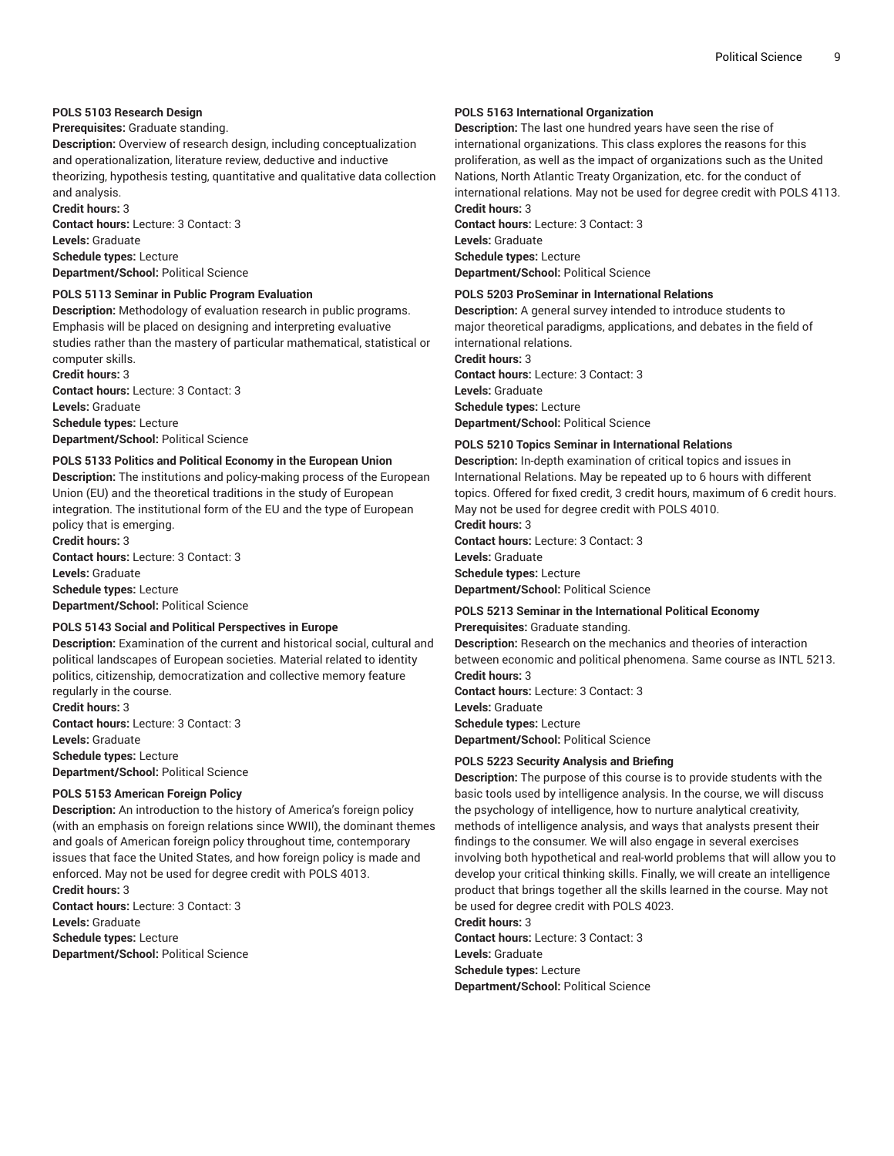#### **POLS 5103 Research Design**

#### **Prerequisites:** Graduate standing.

**Description:** Overview of research design, including conceptualization and operationalization, literature review, deductive and inductive theorizing, hypothesis testing, quantitative and qualitative data collection and analysis.

**Credit hours:** 3

**Contact hours:** Lecture: 3 Contact: 3 **Levels:** Graduate **Schedule types:** Lecture **Department/School:** Political Science

#### **POLS 5113 Seminar in Public Program Evaluation**

**Description:** Methodology of evaluation research in public programs. Emphasis will be placed on designing and interpreting evaluative studies rather than the mastery of particular mathematical, statistical or computer skills.

**Credit hours:** 3 **Contact hours:** Lecture: 3 Contact: 3 **Levels:** Graduate **Schedule types:** Lecture **Department/School:** Political Science

#### **POLS 5133 Politics and Political Economy in the European Union**

**Description:** The institutions and policy-making process of the European Union (EU) and the theoretical traditions in the study of European integration. The institutional form of the EU and the type of European policy that is emerging.

**Credit hours:** 3 **Contact hours:** Lecture: 3 Contact: 3 **Levels:** Graduate **Schedule types:** Lecture **Department/School:** Political Science

#### **POLS 5143 Social and Political Perspectives in Europe**

**Description:** Examination of the current and historical social, cultural and political landscapes of European societies. Material related to identity politics, citizenship, democratization and collective memory feature regularly in the course.

**Credit hours:** 3 **Contact hours:** Lecture: 3 Contact: 3 **Levels:** Graduate **Schedule types:** Lecture **Department/School:** Political Science

#### **POLS 5153 American Foreign Policy**

**Description:** An introduction to the history of America's foreign policy (with an emphasis on foreign relations since WWII), the dominant themes and goals of American foreign policy throughout time, contemporary issues that face the United States, and how foreign policy is made and enforced. May not be used for degree credit with POLS 4013. **Credit hours:** 3

**Contact hours:** Lecture: 3 Contact: 3 **Levels:** Graduate **Schedule types:** Lecture **Department/School:** Political Science

#### **POLS 5163 International Organization**

**Description:** The last one hundred years have seen the rise of international organizations. This class explores the reasons for this proliferation, as well as the impact of organizations such as the United Nations, North Atlantic Treaty Organization, etc. for the conduct of international relations. May not be used for degree credit with POLS 4113. **Credit hours:** 3

**Contact hours:** Lecture: 3 Contact: 3 **Levels:** Graduate **Schedule types:** Lecture **Department/School:** Political Science

#### **POLS 5203 ProSeminar in International Relations**

**Description:** A general survey intended to introduce students to major theoretical paradigms, applications, and debates in the field of international relations.

**Credit hours:** 3

**Contact hours:** Lecture: 3 Contact: 3 **Levels:** Graduate **Schedule types:** Lecture **Department/School:** Political Science

#### **POLS 5210 Topics Seminar in International Relations**

**Description:** In-depth examination of critical topics and issues in International Relations. May be repeated up to 6 hours with different topics. Offered for fixed credit, 3 credit hours, maximum of 6 credit hours. May not be used for degree credit with POLS 4010.

**Credit hours:** 3 **Contact hours:** Lecture: 3 Contact: 3 **Levels:** Graduate **Schedule types:** Lecture **Department/School:** Political Science

## **POLS 5213 Seminar in the International Political Economy**

**Prerequisites:** Graduate standing. **Description:** Research on the mechanics and theories of interaction between economic and political phenomena. Same course as INTL 5213. **Credit hours:** 3 **Contact hours:** Lecture: 3 Contact: 3

**Levels:** Graduate **Schedule types:** Lecture **Department/School:** Political Science

#### **POLS 5223 Security Analysis and Briefing**

**Description:** The purpose of this course is to provide students with the basic tools used by intelligence analysis. In the course, we will discuss the psychology of intelligence, how to nurture analytical creativity, methods of intelligence analysis, and ways that analysts present their findings to the consumer. We will also engage in several exercises involving both hypothetical and real-world problems that will allow you to develop your critical thinking skills. Finally, we will create an intelligence product that brings together all the skills learned in the course. May not be used for degree credit with POLS 4023.

**Credit hours:** 3 **Contact hours:** Lecture: 3 Contact: 3 **Levels:** Graduate **Schedule types:** Lecture **Department/School:** Political Science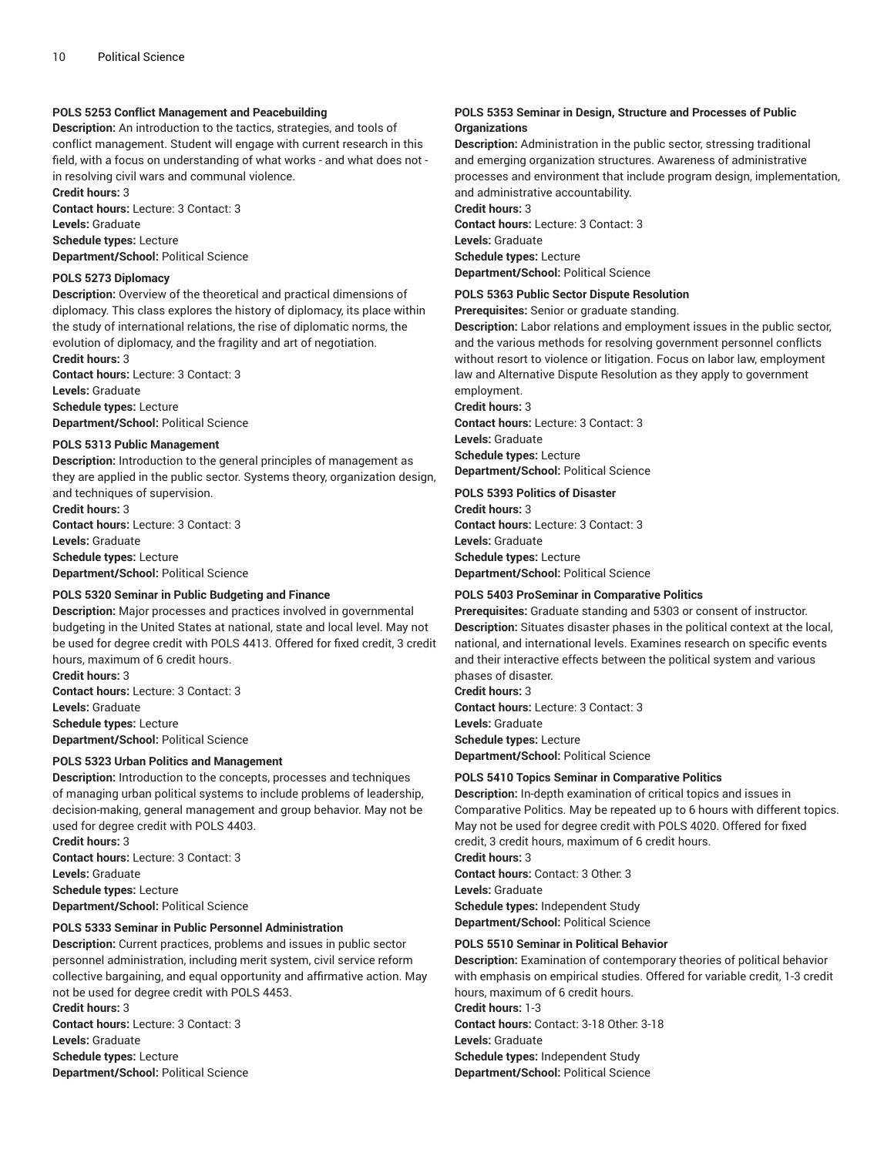## **POLS 5253 Conflict Management and Peacebuilding**

**Description:** An introduction to the tactics, strategies, and tools of conflict management. Student will engage with current research in this field, with a focus on understanding of what works - and what does not in resolving civil wars and communal violence.

**Credit hours:** 3

**Contact hours:** Lecture: 3 Contact: 3 **Levels:** Graduate **Schedule types:** Lecture

**Department/School:** Political Science

#### **POLS 5273 Diplomacy**

**Description:** Overview of the theoretical and practical dimensions of diplomacy. This class explores the history of diplomacy, its place within the study of international relations, the rise of diplomatic norms, the evolution of diplomacy, and the fragility and art of negotiation.

**Credit hours:** 3 **Contact hours:** Lecture: 3 Contact: 3 **Levels:** Graduate **Schedule types:** Lecture **Department/School:** Political Science

#### **POLS 5313 Public Management**

**Description:** Introduction to the general principles of management as they are applied in the public sector. Systems theory, organization design, and techniques of supervision.

**Credit hours:** 3 **Contact hours:** Lecture: 3 Contact: 3 **Levels:** Graduate **Schedule types:** Lecture **Department/School:** Political Science

#### **POLS 5320 Seminar in Public Budgeting and Finance**

**Description:** Major processes and practices involved in governmental budgeting in the United States at national, state and local level. May not be used for degree credit with POLS 4413. Offered for fixed credit, 3 credit hours, maximum of 6 credit hours.

**Credit hours:** 3 **Contact hours:** Lecture: 3 Contact: 3 **Levels:** Graduate **Schedule types:** Lecture **Department/School:** Political Science

#### **POLS 5323 Urban Politics and Management**

**Description:** Introduction to the concepts, processes and techniques of managing urban political systems to include problems of leadership, decision-making, general management and group behavior. May not be used for degree credit with POLS 4403.

**Credit hours:** 3 **Contact hours:** Lecture: 3 Contact: 3 **Levels:** Graduate **Schedule types:** Lecture **Department/School:** Political Science

#### **POLS 5333 Seminar in Public Personnel Administration**

**Description:** Current practices, problems and issues in public sector personnel administration, including merit system, civil service reform collective bargaining, and equal opportunity and affirmative action. May not be used for degree credit with POLS 4453.

**Credit hours:** 3 **Contact hours:** Lecture: 3 Contact: 3 **Levels:** Graduate **Schedule types:** Lecture **Department/School:** Political Science

#### **POLS 5353 Seminar in Design, Structure and Processes of Public Organizations**

**Description:** Administration in the public sector, stressing traditional and emerging organization structures. Awareness of administrative processes and environment that include program design, implementation, and administrative accountability.

**Credit hours:** 3 **Contact hours:** Lecture: 3 Contact: 3 **Levels:** Graduate **Schedule types:** Lecture **Department/School:** Political Science

#### **POLS 5363 Public Sector Dispute Resolution**

**Prerequisites:** Senior or graduate standing.

**Description:** Labor relations and employment issues in the public sector, and the various methods for resolving government personnel conflicts without resort to violence or litigation. Focus on labor law, employment law and Alternative Dispute Resolution as they apply to government employment.

**Credit hours:** 3

**Contact hours:** Lecture: 3 Contact: 3 **Levels:** Graduate **Schedule types:** Lecture **Department/School:** Political Science

#### **POLS 5393 Politics of Disaster**

**Credit hours:** 3 **Contact hours:** Lecture: 3 Contact: 3 **Levels:** Graduate **Schedule types:** Lecture **Department/School:** Political Science

#### **POLS 5403 ProSeminar in Comparative Politics**

**Prerequisites:** Graduate standing and 5303 or consent of instructor. **Description:** Situates disaster phases in the political context at the local, national, and international levels. Examines research on specific events and their interactive effects between the political system and various phases of disaster.

**Credit hours:** 3 **Contact hours:** Lecture: 3 Contact: 3 **Levels:** Graduate **Schedule types:** Lecture **Department/School:** Political Science

#### **POLS 5410 Topics Seminar in Comparative Politics**

**Description:** In-depth examination of critical topics and issues in Comparative Politics. May be repeated up to 6 hours with different topics. May not be used for degree credit with POLS 4020. Offered for fixed credit, 3 credit hours, maximum of 6 credit hours.

**Credit hours:** 3 **Contact hours:** Contact: 3 Other: 3 **Levels:** Graduate **Schedule types:** Independent Study **Department/School:** Political Science

#### **POLS 5510 Seminar in Political Behavior**

**Description:** Examination of contemporary theories of political behavior with emphasis on empirical studies. Offered for variable credit, 1-3 credit hours, maximum of 6 credit hours. **Credit hours:** 1-3 **Contact hours:** Contact: 3-18 Other: 3-18 **Levels:** Graduate **Schedule types:** Independent Study **Department/School:** Political Science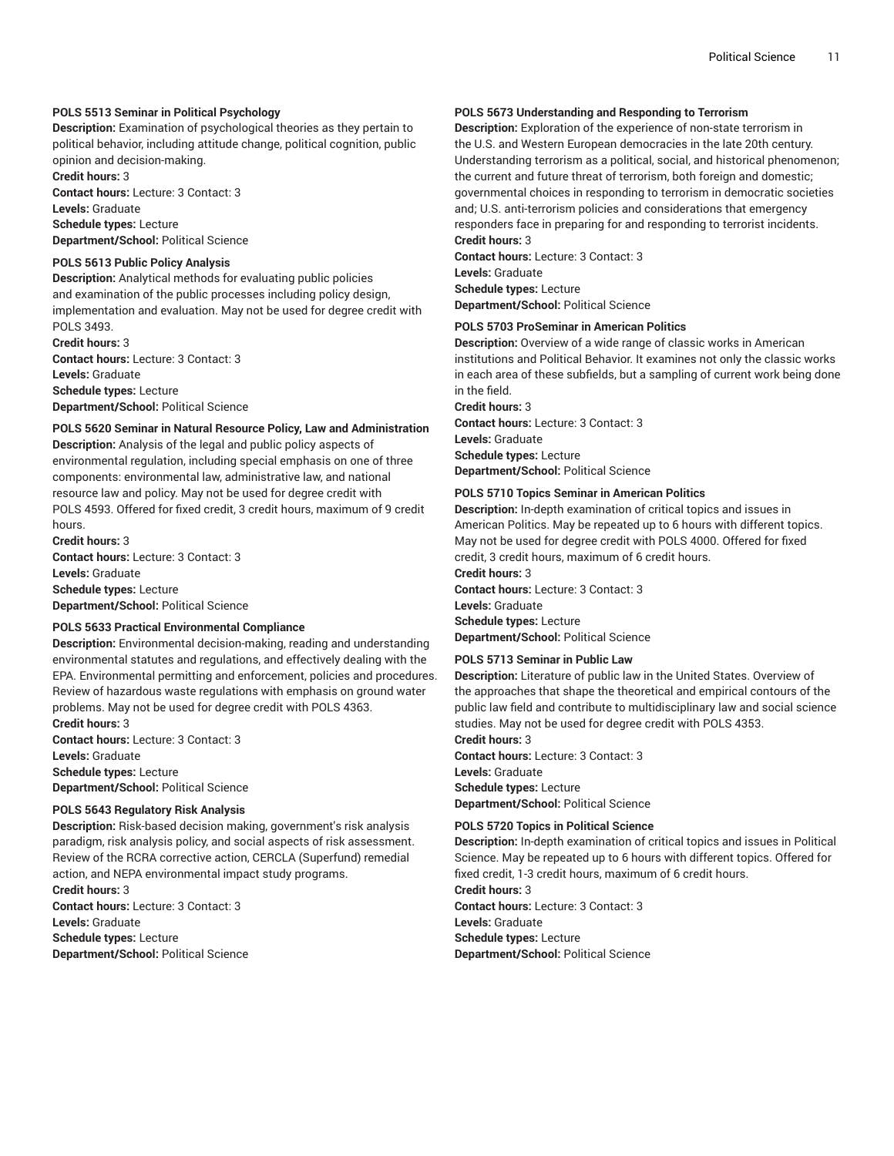#### **POLS 5513 Seminar in Political Psychology**

**Description:** Examination of psychological theories as they pertain to political behavior, including attitude change, political cognition, public opinion and decision-making.

**Credit hours:** 3

**Contact hours:** Lecture: 3 Contact: 3 **Levels:** Graduate **Schedule types:** Lecture

**Department/School:** Political Science

#### **POLS 5613 Public Policy Analysis**

**Description:** Analytical methods for evaluating public policies and examination of the public processes including policy design, implementation and evaluation. May not be used for degree credit with POLS 3493.

**Credit hours:** 3 **Contact hours:** Lecture: 3 Contact: 3 **Levels:** Graduate **Schedule types:** Lecture **Department/School:** Political Science

#### **POLS 5620 Seminar in Natural Resource Policy, Law and Administration**

**Description:** Analysis of the legal and public policy aspects of environmental regulation, including special emphasis on one of three components: environmental law, administrative law, and national resource law and policy. May not be used for degree credit with POLS 4593. Offered for fixed credit, 3 credit hours, maximum of 9 credit hours.

**Credit hours:** 3 **Contact hours:** Lecture: 3 Contact: 3 **Levels:** Graduate **Schedule types:** Lecture **Department/School:** Political Science

#### **POLS 5633 Practical Environmental Compliance**

**Description:** Environmental decision-making, reading and understanding environmental statutes and regulations, and effectively dealing with the EPA. Environmental permitting and enforcement, policies and procedures. Review of hazardous waste regulations with emphasis on ground water problems. May not be used for degree credit with POLS 4363. **Credit hours:** 3

**Contact hours:** Lecture: 3 Contact: 3 **Levels:** Graduate **Schedule types:** Lecture **Department/School:** Political Science

## **POLS 5643 Regulatory Risk Analysis**

**Description:** Risk-based decision making, government's risk analysis paradigm, risk analysis policy, and social aspects of risk assessment. Review of the RCRA corrective action, CERCLA (Superfund) remedial action, and NEPA environmental impact study programs. **Credit hours:** 3

**Contact hours:** Lecture: 3 Contact: 3 **Levels:** Graduate **Schedule types:** Lecture **Department/School:** Political Science

#### **POLS 5673 Understanding and Responding to Terrorism**

**Description:** Exploration of the experience of non-state terrorism in the U.S. and Western European democracies in the late 20th century. Understanding terrorism as a political, social, and historical phenomenon; the current and future threat of terrorism, both foreign and domestic; governmental choices in responding to terrorism in democratic societies and; U.S. anti-terrorism policies and considerations that emergency responders face in preparing for and responding to terrorist incidents. **Credit hours:** 3 **Contact hours:** Lecture: 3 Contact: 3 **Levels:** Graduate **Schedule types:** Lecture **Department/School:** Political Science

## **POLS 5703 ProSeminar in American Politics**

**Description:** Overview of a wide range of classic works in American institutions and Political Behavior. It examines not only the classic works in each area of these subfields, but a sampling of current work being done in the field.

**Credit hours:** 3 **Contact hours:** Lecture: 3 Contact: 3 **Levels:** Graduate **Schedule types:** Lecture **Department/School:** Political Science

#### **POLS 5710 Topics Seminar in American Politics**

**Description:** In-depth examination of critical topics and issues in American Politics. May be repeated up to 6 hours with different topics. May not be used for degree credit with POLS 4000. Offered for fixed credit, 3 credit hours, maximum of 6 credit hours.

**Credit hours:** 3 **Contact hours:** Lecture: 3 Contact: 3

**Levels:** Graduate

**Schedule types:** Lecture **Department/School:** Political Science

#### **POLS 5713 Seminar in Public Law**

**Description:** Literature of public law in the United States. Overview of the approaches that shape the theoretical and empirical contours of the public law field and contribute to multidisciplinary law and social science studies. May not be used for degree credit with POLS 4353.

**Credit hours:** 3 **Contact hours:** Lecture: 3 Contact: 3 **Levels:** Graduate **Schedule types:** Lecture **Department/School:** Political Science

#### **POLS 5720 Topics in Political Science**

**Description:** In-depth examination of critical topics and issues in Political Science. May be repeated up to 6 hours with different topics. Offered for fixed credit, 1-3 credit hours, maximum of 6 credit hours.

**Credit hours:** 3 **Contact hours:** Lecture: 3 Contact: 3 **Levels:** Graduate **Schedule types:** Lecture **Department/School:** Political Science